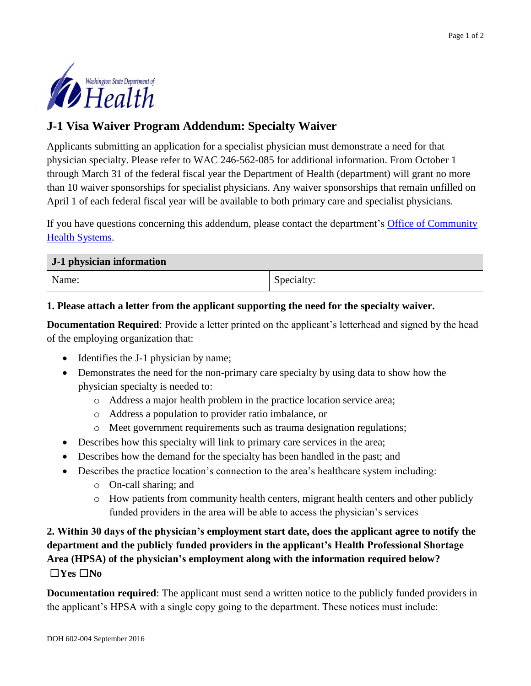

## **J-1 Visa Waiver Program Addendum: Specialty Waiver**

Applicants submitting an application for a specialist physician must demonstrate a need for that physician specialty. Please refer to WAC 246-562-085 for additional information. From October 1 through March 31 of the federal fiscal year the Department of Health (department) will grant no more than 10 waiver sponsorships for specialist physicians. Any waiver sponsorships that remain unfilled on April 1 of each federal fiscal year will be available to both primary care and specialist physicians.

If you have questions concerning this addendum, please contact the department's Office of Community [Health Systems.](http://www.doh.wa.gov/ruralhealth)

| J-1 physician information |            |
|---------------------------|------------|
| Name:                     | Specialty: |

## **1. Please attach a letter from the applicant supporting the need for the specialty waiver.**

**Documentation Required:** Provide a letter printed on the applicant's letterhead and signed by the head of the employing organization that:

- Identifies the J-1 physician by name;
- Demonstrates the need for the non-primary care specialty by using data to show how the physician specialty is needed to:
	- o Address a major health problem in the practice location service area;
	- o Address a population to provider ratio imbalance, or
	- o Meet government requirements such as trauma designation regulations;
- Describes how this specialty will link to primary care services in the area;
- Describes how the demand for the specialty has been handled in the past; and
- Describes the practice location's connection to the area's healthcare system including:
	- o On-call sharing; and
	- o How patients from community health centers, migrant health centers and other publicly funded providers in the area will be able to access the physician's services

**2. Within 30 days of the physician's employment start date, does the applicant agree to notify the department and the publicly funded providers in the applicant's Health Professional Shortage Area (HPSA) of the physician's employment along with the information required below?**  ☐**Yes** ☐**No**

**Documentation required**: The applicant must send a written notice to the publicly funded providers in the applicant's HPSA with a single copy going to the department. These notices must include: